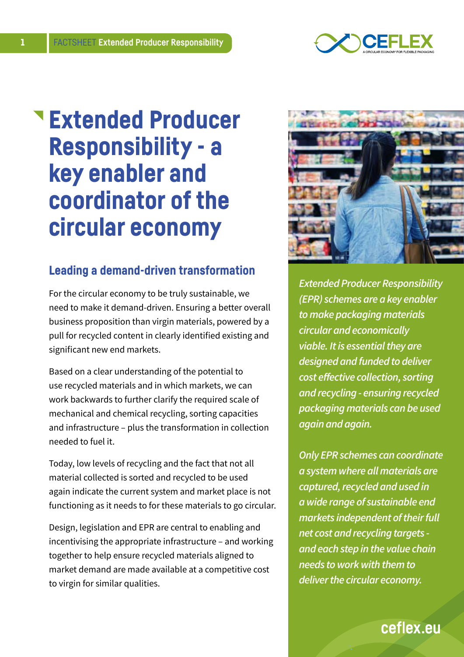

# Extended Producer Responsibility - a key enabler and coordinator of the circular economy

### Leading a demand-driven transformation

For the circular economy to be truly sustainable, we need to make it demand-driven. Ensuring a better overall business proposition than virgin materials, powered by a pull for recycled content in clearly identified existing and significant new end markets.

Based on a clear understanding of the potential to use recycled materials and in which markets, we can work backwards to further clarify the required scale of mechanical and chemical recycling, sorting capacities and infrastructure – plus the transformation in collection needed to fuel it.

Today, low levels of recycling and the fact that not all material collected is sorted and recycled to be used again indicate the current system and market place is not functioning as it needs to for these materials to go circular.

Design, legislation and EPR are central to enabling and incentivising the appropriate infrastructure – and working together to help ensure recycled materials aligned to market demand are made available at a competitive cost to virgin for similar qualities.



*Extended Producer Responsibility (EPR) schemes are a key enabler to make packaging materials circular and economically viable. It is essential they are designed and funded to deliver cost effective collection, sorting and recycling - ensuring recycled packaging materials can be used again and again.*

*Only EPR schemes can coordinate a system where all materials are captured, recycled and used in a wide range of sustainable end markets independent of their full net cost and recycling targets and each step in the value chain needs to work with them to deliver the circular economy.*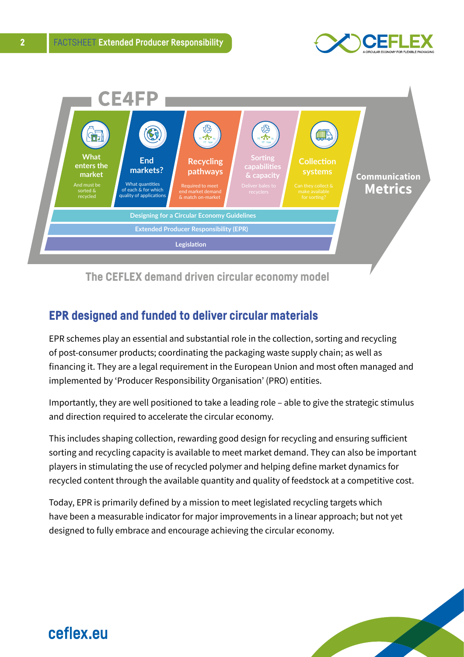



The CEFLEX demand driven circular economy model

### EPR designed and funded to deliver circular materials

EPR schemes play an essential and substantial role in the collection, sorting and recycling of post-consumer products; coordinating the packaging waste supply chain; as well as financing it. They are a legal requirement in the European Union and most often managed and implemented by 'Producer Responsibility Organisation' (PRO) entities.

Importantly, they are well positioned to take a leading role – able to give the strategic stimulus and direction required to accelerate the circular economy.

This includes shaping collection, rewarding good design for recycling and ensuring sufficient sorting and recycling capacity is available to meet market demand. They can also be important players in stimulating the use of recycled polymer and helping define market dynamics for recycled content through the available quantity and quality of feedstock at a competitive cost.

Today, EPR is primarily defined by a mission to meet legislated recycling targets which have been a measurable indicator for major improvements in a linear approach; but not yet designed to fully embrace and encourage achieving the circular economy.

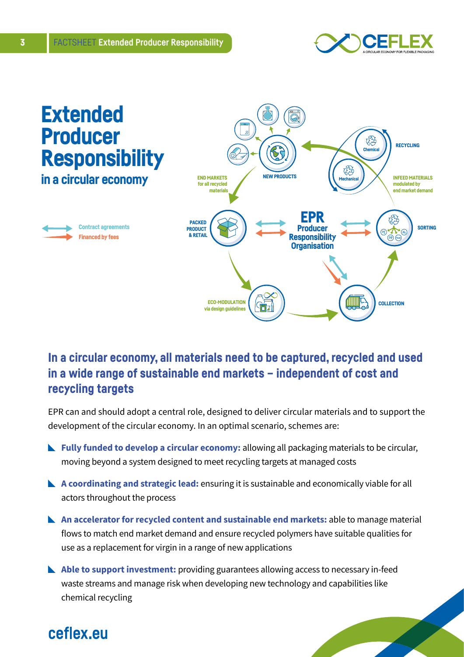



### In a circular economy, all materials need to be captured, recycled and used in a wide range of sustainable end markets – independent of cost and recycling targets

EPR can and should adopt a central role, designed to deliver circular materials and to support the development of the circular economy. In an optimal scenario, schemes are:

- **Fully funded to develop a circular economy:** allowing all packaging materials to be circular, moving beyond a system designed to meet recycling targets at managed costs
- **A coordinating and strategic lead:** ensuring it is sustainable and economically viable for all actors throughout the process
- **An accelerator for recycled content and sustainable end markets:** able to manage material flows to match end market demand and ensure recycled polymers have suitable qualities for use as a replacement for virgin in a range of new applications
- **Able to support investment:** providing guarantees allowing access to necessary in-feed waste streams and manage risk when developing new technology and capabilities like chemical recycling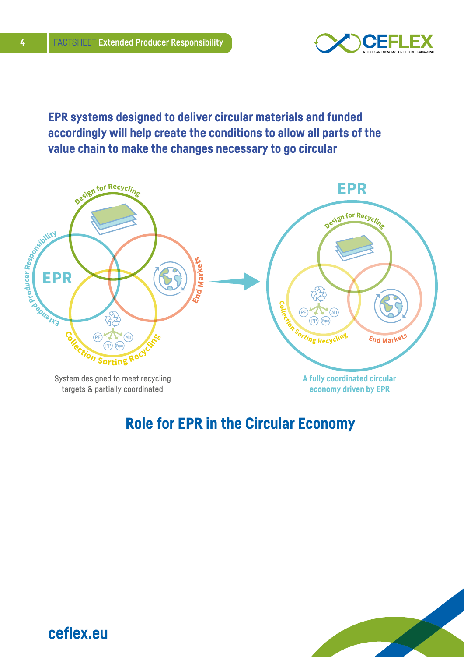

EPR systems designed to deliver circular materials and funded accordingly will help create the conditions to allow all parts of the value chain to make the changes necessary to go circular



## Role for EPR in the Circular Economy

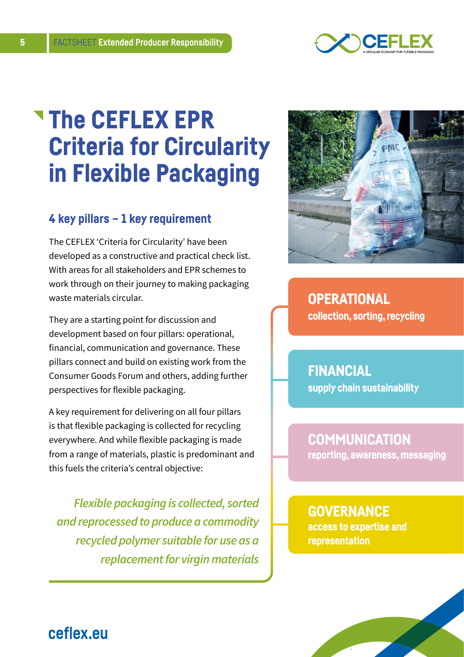

# The CEFLEX EPR Criteria for Circularity in Flexible Packaging

### 4 key pillars – 1 key requirement

The CEFLEX 'Criteria for Circularity' have been developed as a constructive and practical check list. With areas for all stakeholders and EPR schemes to work through on their journey to making packaging waste materials circular.

They are a starting point for discussion and development based on four pillars: operational, financial, communication and governance. These pillars connect and build on existing work from the Consumer Goods Forum and others, adding further perspectives for flexible packaging.

A key requirement for delivering on all four pillars is that flexible packaging is collected for recycling everywhere. And while flexible packaging is made from a range of materials, plastic is predominant and this fuels the criteria's central objective:

*Flexible packaging is collected, sorted and reprocessed to produce a commodity recycled polymer suitable for use as a replacement for virgin materials*



### **OPERATIONAL** collection, sorting, recycling

FINANCIAL supply chain sustainability

### **COMMUNICATION**

reporting, awareness, messaging

### **GOVERNANCE**

access to expertise and representation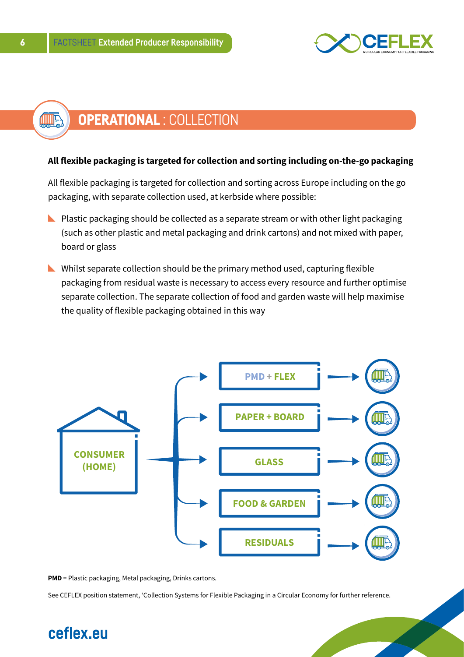

#### OPERATIONAL : COLLECTION ∰

#### **All flexible packaging is targeted for collection and sorting including on-the-go packaging**

All flexible packaging is targeted for collection and sorting across Europe including on the go packaging, with separate collection used, at kerbside where possible:

- $\blacktriangleright$  Plastic packaging should be collected as a separate stream or with other light packaging (such as other plastic and metal packaging and drink cartons) and not mixed with paper, board or glass
- $\blacktriangleright$  Whilst separate collection should be the primary method used, capturing flexible packaging from residual waste is necessary to access every resource and further optimise separate collection. The separate collection of food and garden waste will help maximise the quality of flexible packaging obtained in this way



**PMD** = Plastic packaging, Metal packaging, Drinks cartons.

See CEFLEX position statement, 'Collection Systems for Flexible Packaging in a Circular Economy for further reference.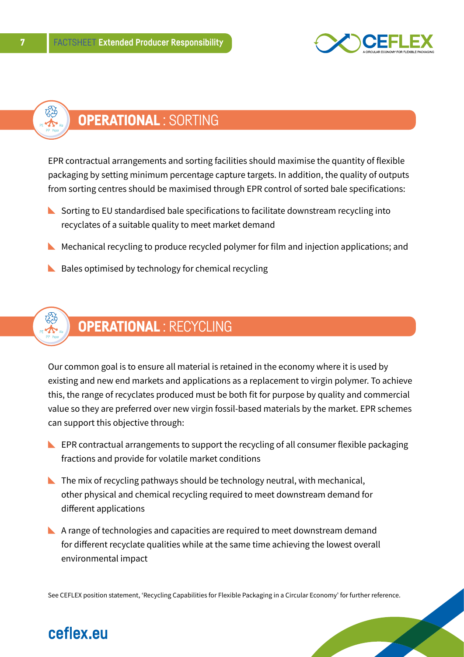



EPR contractual arrangements and sorting facilities should maximise the quantity of flexible packaging by setting minimum percentage capture targets. In addition, the quality of outputs from sorting centres should be maximised through EPR control of sorted bale specifications:

- $\blacktriangleright$  Sorting to EU standardised bale specifications to facilitate downstream recycling into recyclates of a suitable quality to meet market demand
- $\blacktriangleright$  Mechanical recycling to produce recycled polymer for film and injection applications; and
- $\blacktriangleright$  Bales optimised by technology for chemical recycling



Our common goal is to ensure all material is retained in the economy where it is used by existing and new end markets and applications as a replacement to virgin polymer. To achieve this, the range of recyclates produced must be both fit for purpose by quality and commercial value so they are preferred over new virgin fossil-based materials by the market. EPR schemes can support this objective through:

- $\blacktriangleright$  EPR contractual arrangements to support the recycling of all consumer flexible packaging fractions and provide for volatile market conditions
- $\blacktriangleright$  The mix of recycling pathways should be technology neutral, with mechanical, other physical and chemical recycling required to meet downstream demand for different applications
- $\blacktriangleright$  A range of technologies and capacities are required to meet downstream demand for different recyclate qualities while at the same time achieving the lowest overall environmental impact

See CEFLEX position statement, 'Recycling Capabilities for Flexible Packaging in a Circular Economy' for further reference.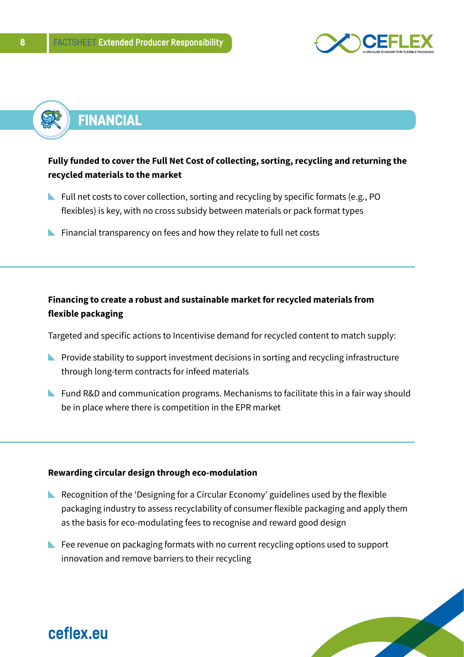



### **Fully funded to cover the Full Net Cost of collecting, sorting, recycling and returning the recycled materials to the market**

- Full net costs to cover collection, sorting and recycling by specific formats (e.g., PO flexibles) is key, with no cross subsidy between materials or pack format types
- $\blacktriangleright$  Financial transparency on fees and how they relate to full net costs

### **Financing to create a robust and sustainable market for recycled materials from flexible packaging**

Targeted and specific actions to Incentivise demand for recycled content to match supply:

- $\blacktriangleright$  Provide stability to support investment decisions in sorting and recycling infrastructure through long-term contracts for infeed materials
- **N** Fund R&D and communication programs. Mechanisms to facilitate this in a fair way should be in place where there is competition in the EPR market

#### **Rewarding circular design through eco-modulation**

- Recognition of the 'Designing for a Circular Economy' guidelines used by the flexible packaging industry to assess recyclability of consumer flexible packaging and apply them as the basis for eco-modulating fees to recognise and reward good design
- Fee revenue on packaging formats with no current recycling options used to support innovation and remove barriers to their recycling

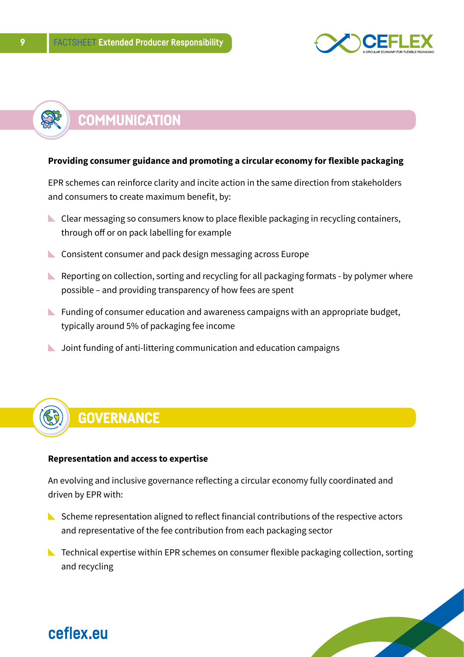

# **COMMUNICATION**

#### **Providing consumer guidance and promoting a circular economy for flexible packaging**

EPR schemes can reinforce clarity and incite action in the same direction from stakeholders and consumers to create maximum benefit, by:

- Clear messaging so consumers know to place flexible packaging in recycling containers, through off or on pack labelling for example
- **Consistent consumer and pack design messaging across Europe**
- $\blacktriangleright$  Reporting on collection, sorting and recycling for all packaging formats by polymer where possible – and providing transparency of how fees are spent
- $\blacktriangleright$  Funding of consumer education and awareness campaigns with an appropriate budget, typically around 5% of packaging fee income
- **L** Joint funding of anti-littering communication and education campaigns

# **GOVERNANCE**

#### **Representation and access to expertise**

An evolving and inclusive governance reflecting a circular economy fully coordinated and driven by EPR with:

- $\blacktriangleright$  Scheme representation aligned to reflect financial contributions of the respective actors and representative of the fee contribution from each packaging sector
- **N** Technical expertise within EPR schemes on consumer flexible packaging collection, sorting and recycling

S

# ceflex eu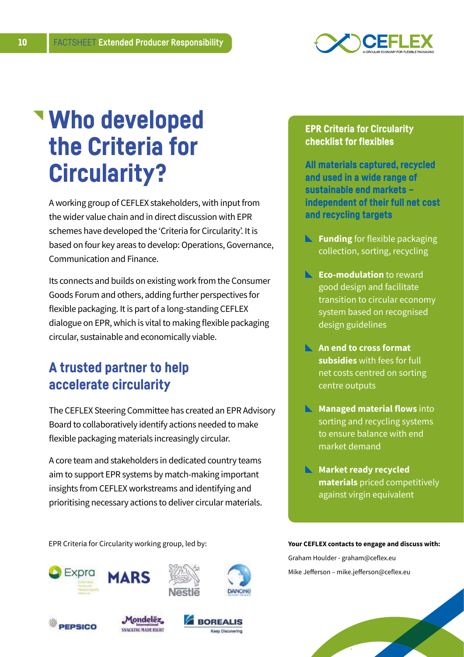

# Who developed the Criteria for Circularity?

A working group of CEFLEX stakeholders, with input from the wider value chain and in direct discussion with EPR schemes have developed the 'Criteria for Circularity'. It is based on four key areas to develop: Operations, Governance, Communication and Finance.

Its connects and builds on existing work from the Consumer Goods Forum and others, adding further perspectives for flexible packaging. It is part of a long-standing CEFLEX dialogue on EPR, which is vital to making flexible packaging circular, sustainable and economically viable.

## A trusted partner to help accelerate circularity

The CEFLEX Steering Committee has created an EPR Advisory Board to collaboratively identify actions needed to make flexible packaging materials increasingly circular.

A core team and stakeholders in dedicated country teams aim to support EPR systems by match-making important insights from CEFLEX workstreams and identifying and prioritising necessary actions to deliver circular materials.

EPR Criteria for Circularity working group, led by: **Your CEFLEX contacts to engage and discuss with:** 







# EPR Criteria for Circularity checklist for flexibles

All materials captured, recycled and used in a wide range of sustainable end markets – independent of their full net cost and recycling targets

- **Funding** for flexible packaging collection, sorting, recycling
- **Eco-modulation** to reward good design and facilitate transition to circular economy system based on recognised design guidelines
- **An end to cross format subsidies** with fees for full net costs centred on sorting centre outputs
- **Managed material flows** into sorting and recycling systems to ensure balance with end market demand
- **Market ready recycled materials** priced competitively against virgin equivalent

Graham Houlder - graham@ceflex.eu Mike Jefferson – mike.jefferson@ceflex.eu